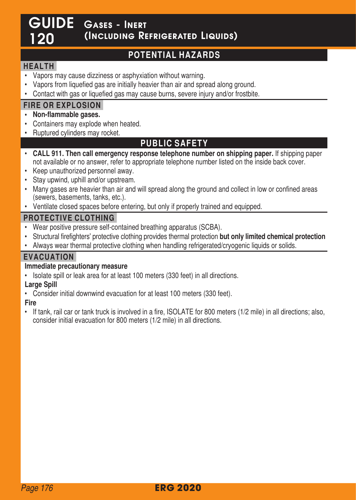# GUIDE Gases - Inert 120 (Including Refrigerated Liquids)

# **POTENTIAL HAZARDS**

## **HEALTH**

- Vapors may cause dizziness or asphyxiation without warning.
- Vapors from liquefied gas are initially heavier than air and spread along ground.
- Contact with gas or liquefied gas may cause burns, severe injury and/or frostbite.

## **FIRE OR EXPLOSION**

- **Non-flammable gases.**
- Containers may explode when heated
- Ruptured cylinders may rocket.

# **PUBLIC SAFETY**

- **CALL 911. Then call emergency response telephone number on shipping paper.** If shipping paper not available or no answer, refer to appropriate telephone number listed on the inside back cover
- Keep unauthorized personnel away.
- Stay upwind, uphill and/or upstream.
- Many gases are heavier than air and will spread along the ground and collect in low or confined areas (sewers, basements, tanks, etc.).
- Ventilate closed spaces before entering, but only if properly trained and equipped.

#### **PROTECTIVE CLOTHING**

- Wear positive pressure self-contained breathing apparatus (SCBA).
- Structural firefighters' protective clothing provides thermal protection **but only limited chemical protection**
- Always wear thermal protective clothing when handling refrigerated/cryogenic liquids or solids

## **EVACUATION**

#### **Immediate precautionary measure**

• Isolate spill or leak area for at least 100 meters (330 feet) in all directions

#### **Large Spill**

• Consider initial downwind evacuation for at least 100 meters (330 feet)

#### **Fire**

• If tank, rail car or tank truck is involved in a fire, ISOLATE for 800 meters (1/2 mile) in all directions; also, consider initial evacuation for 800 meters (1/2 mile) in all directions